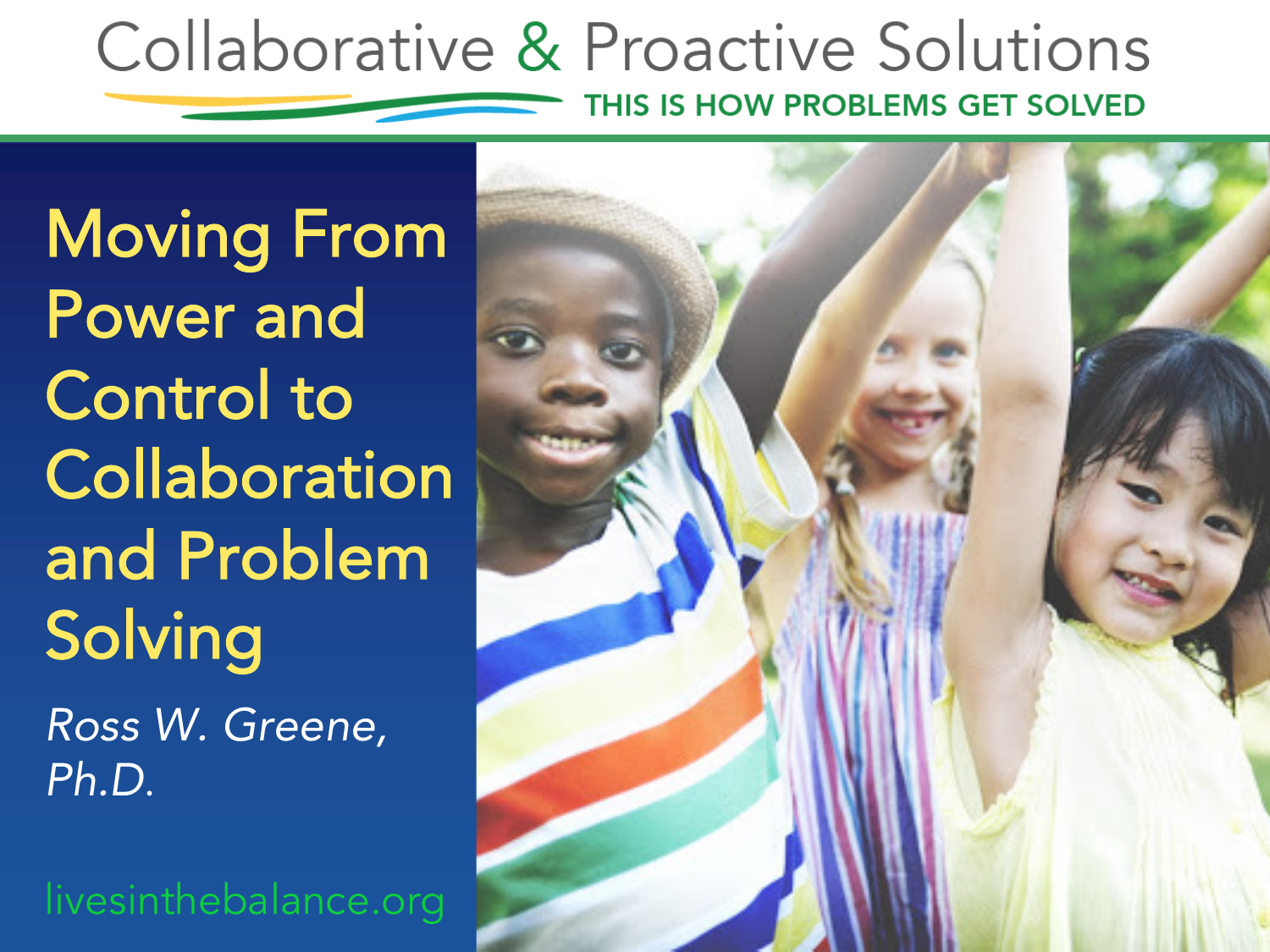### Collaborative & Proactive Solutions THIS IS HOW PROBLEMS GET SOLVED

Moving From Power and Control to **Collaboration** and Problem Solving

*Ross W. Greene, Ph.D*.

livesinthebalance.org

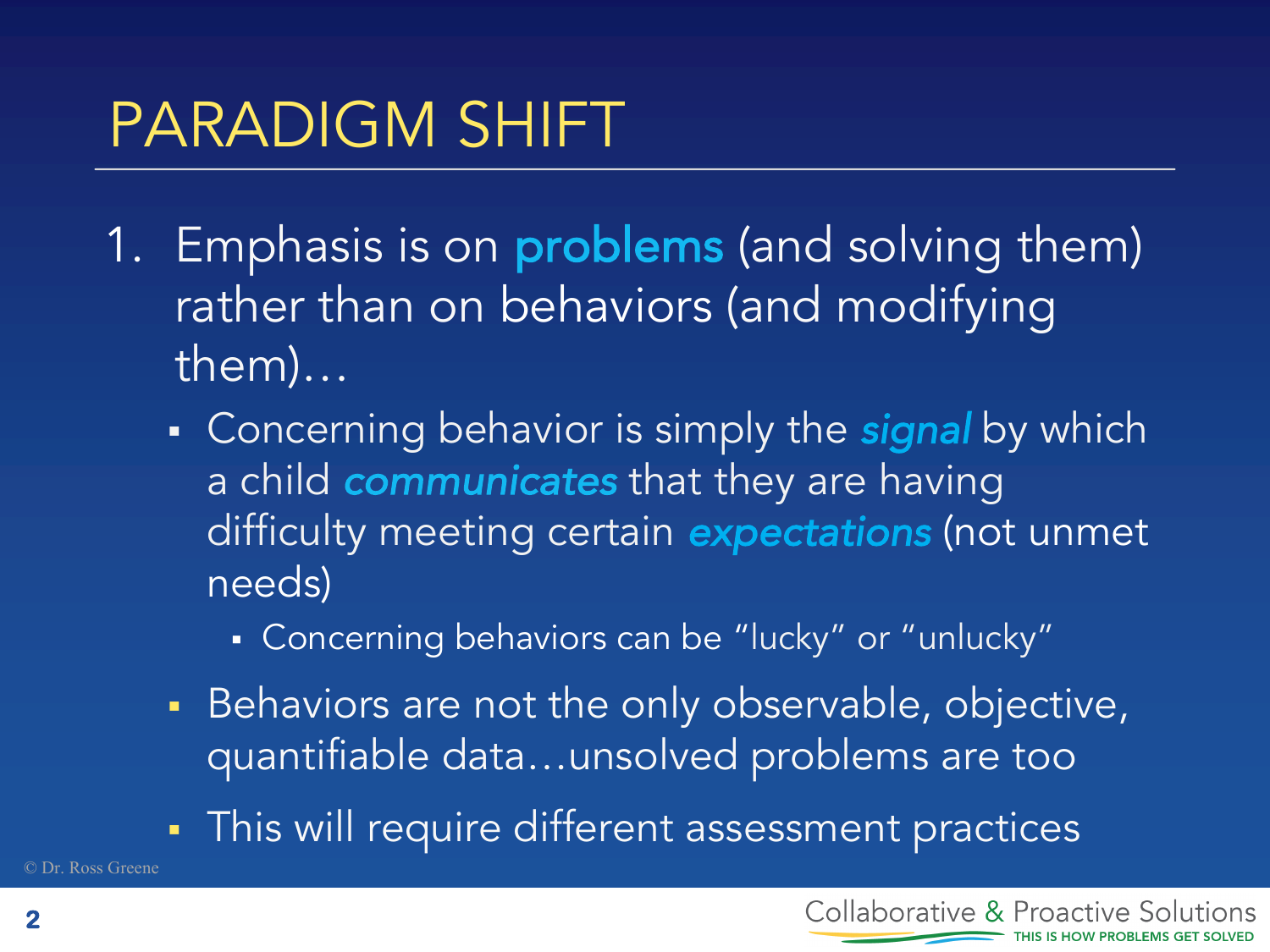- 1. Emphasis is on problems (and solving them) rather than on behaviors (and modifying them)…
	- Concerning behavior is simply the **signal** by which a child *communicates* that they are having difficulty meeting certain *expectations* (not unmet needs)
		- § Concerning behaviors can be "lucky" or "unlucky"
	- Behaviors are not the only observable, objective, quantifiable data…unsolved problems are too
	- **This will require different assessment practices**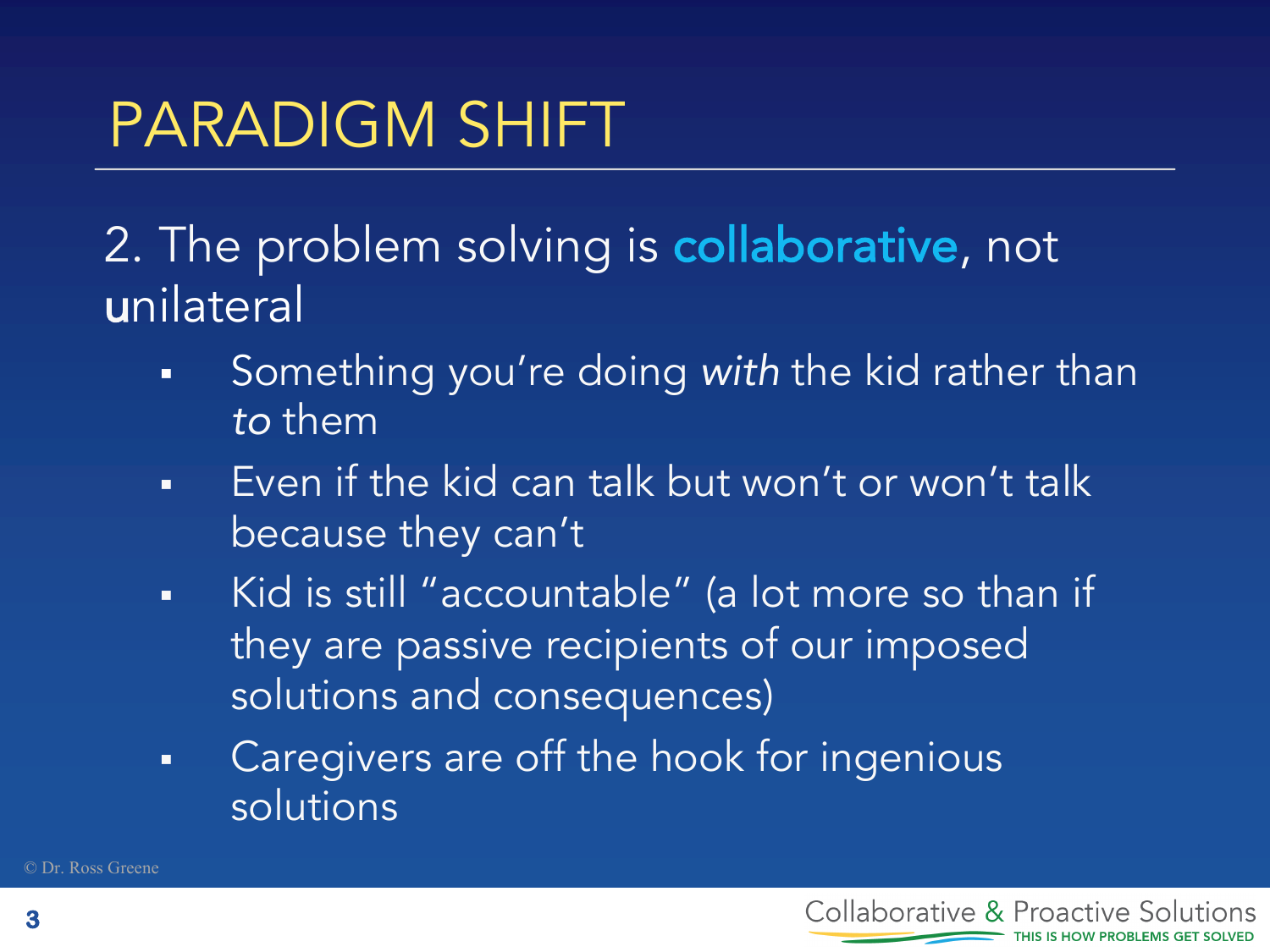2. The problem solving is **collaborative**, not unilateral

- § Something you're doing *with* the kid rather than *to* them
- **•** Even if the kid can talk but won't or won't talk because they can't
- Kid is still "accountable" (a lot more so than if they are passive recipients of our imposed solutions and consequences)
- Caregivers are off the hook for ingenious solutions

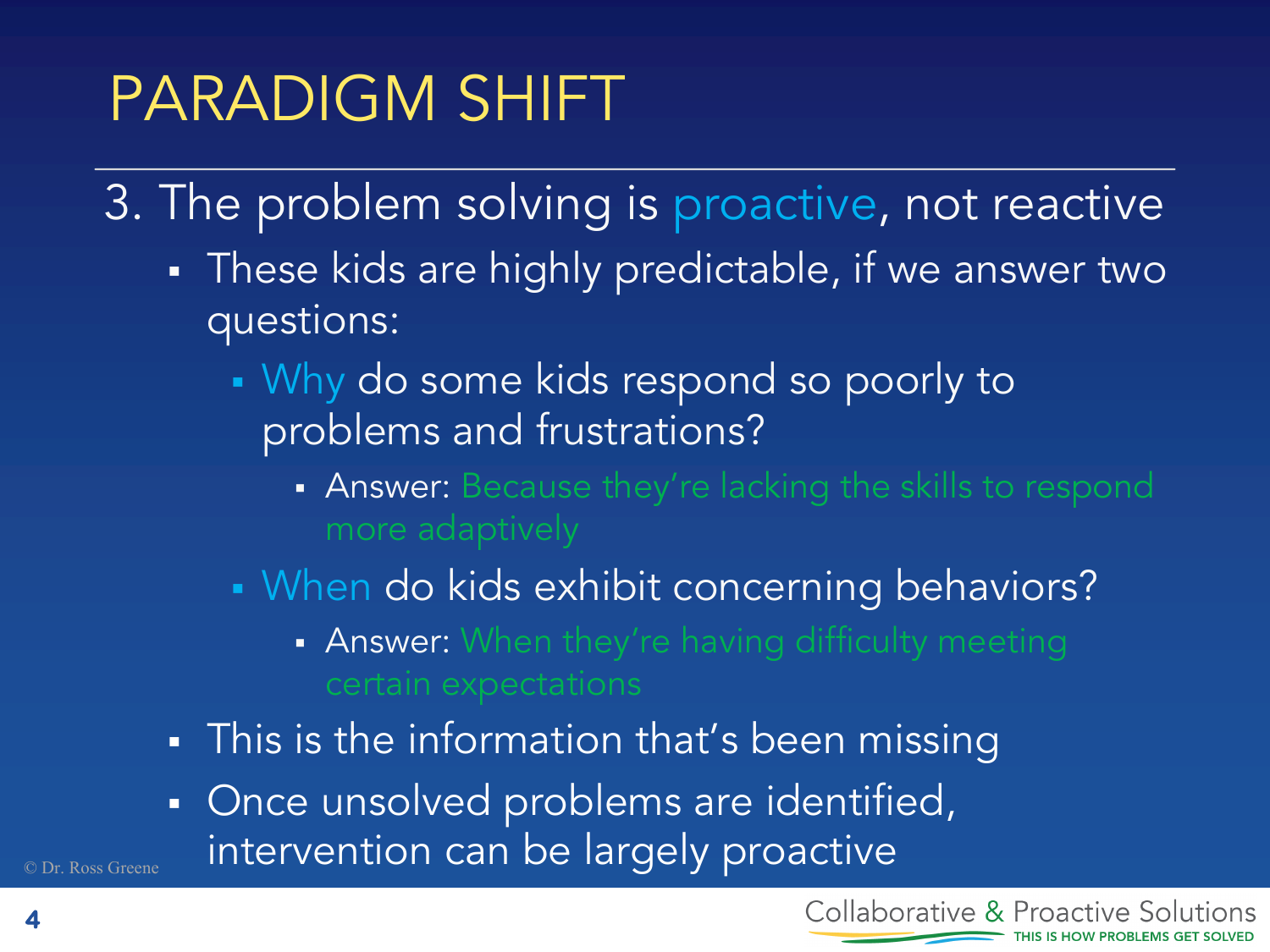- 3. The problem solving is proactive, not reactive
	- **•** These kids are highly predictable, if we answer two questions:
		- § Why do some kids respond so poorly to problems and frustrations?
			- **Answer:** Because they're lacking the skills to respond
		- When do kids exhibit concerning behaviors?
			- **Answer:** When they're having difficulty meeting
	- This is the information that's been missing
	- Once unsolved problems are identified, intervention can be largely proactive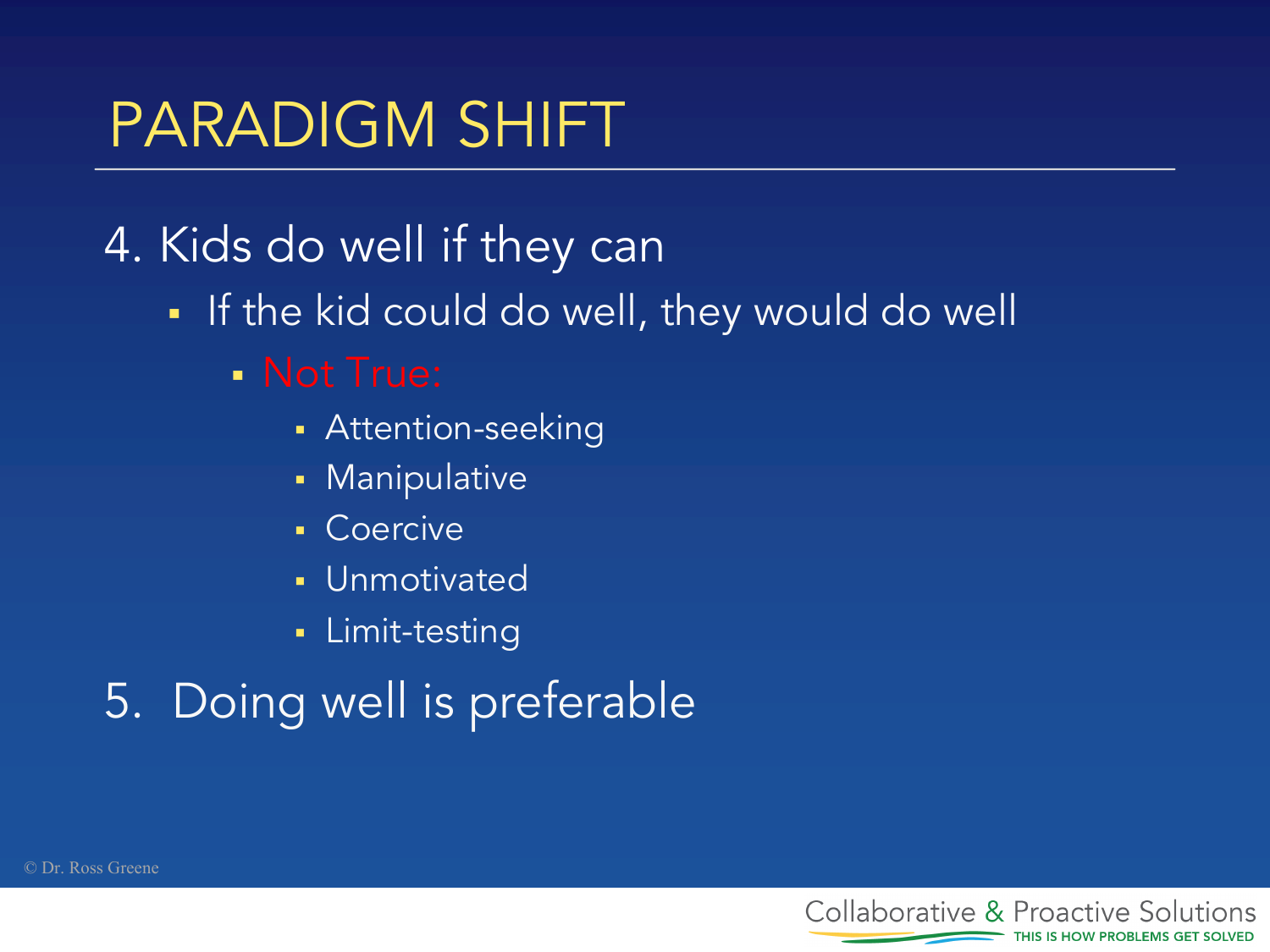### 4. Kids do well if they can

• If the kid could do well, they would do well

### § Not True:

- Attention-seeking
- **Manipulative**
- Coercive
- § Unmotivated
- § Limit-testing

### 5. Doing well is preferable

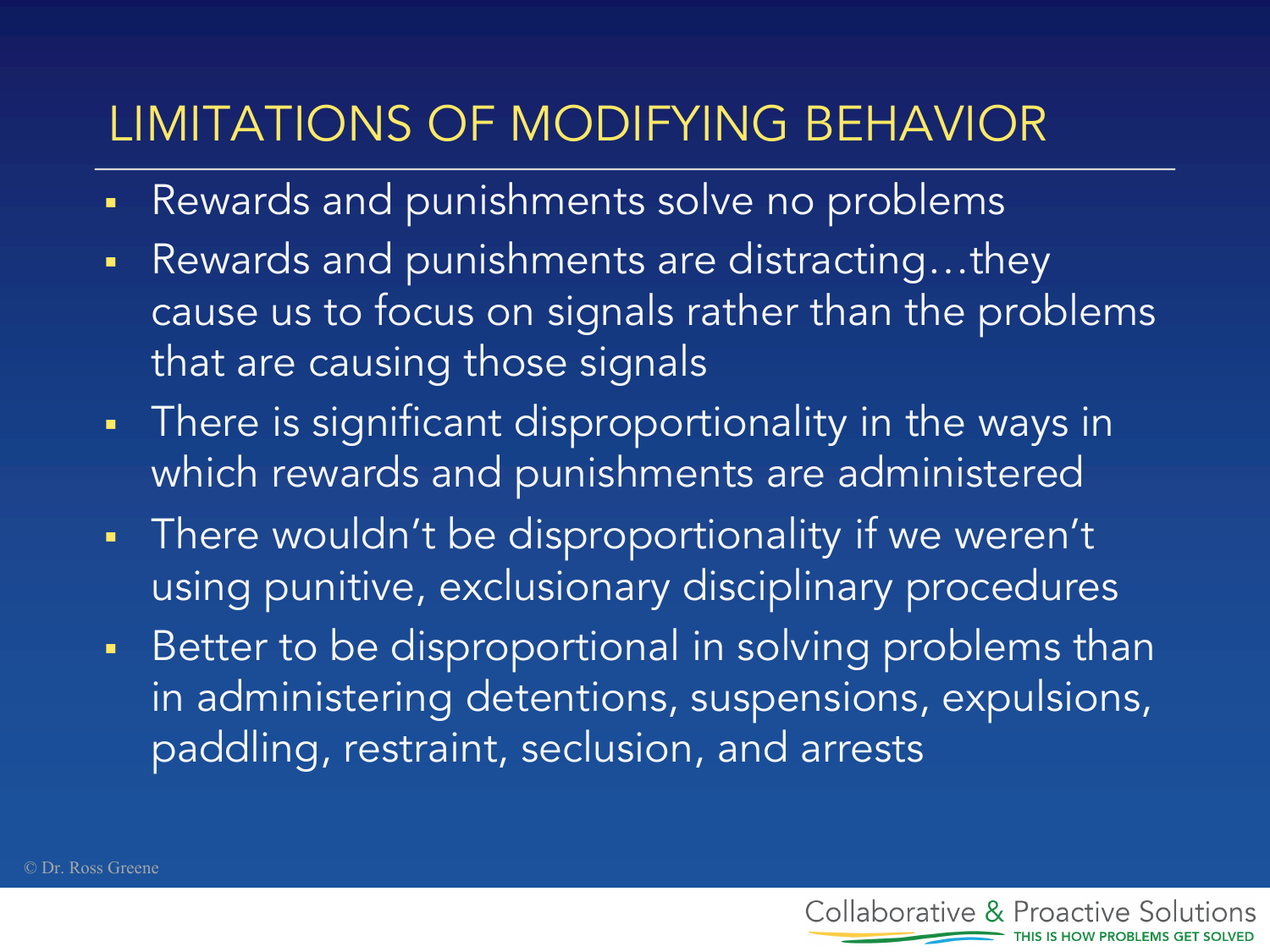### LIMITATIONS OF MODIFYING BEHAVIOR

- Rewards and punishments solve no problems
- Rewards and punishments are distracting...they cause us to focus on signals rather than the problems that are causing those signals
- There is significant disproportionality in the ways in which rewards and punishments are administered
- There wouldn't be disproportionality if we weren't using punitive, exclusionary disciplinary procedures
- Better to be disproportional in solving problems than in administering detentions, suspensions, expulsions, paddling, restraint, seclusion, and arrests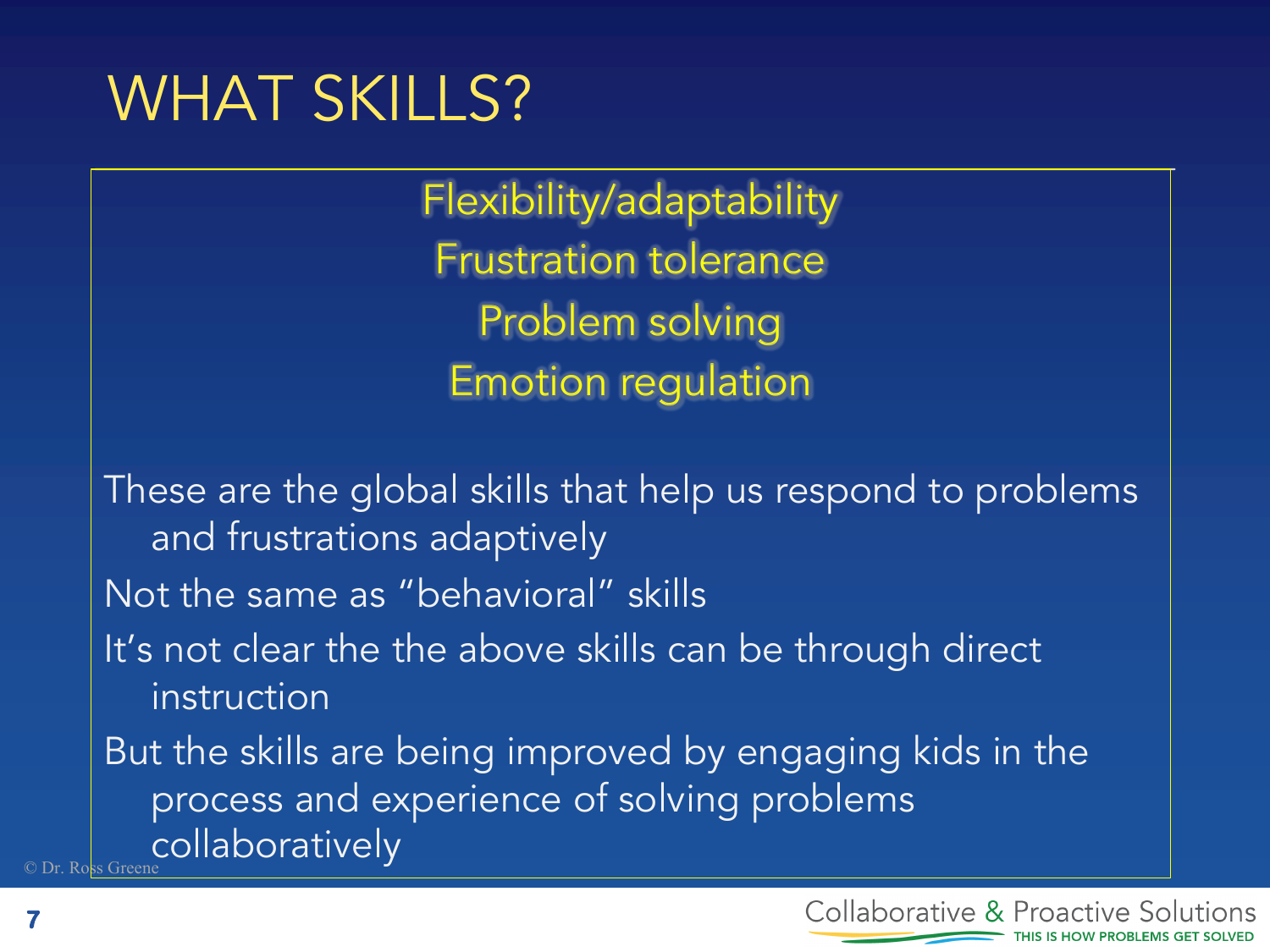### WHAT SKILLS?

Flexibility/adaptability Frustration tolerance Problem solving Emotion regulation

s Green These are the global skills that help us respond to problems and frustrations adaptively Not the same as "behavioral" skills It's not clear the the above skills can be through direct instruction But the skills are being improved by engaging kids in the process and experience of solving problems collaboratively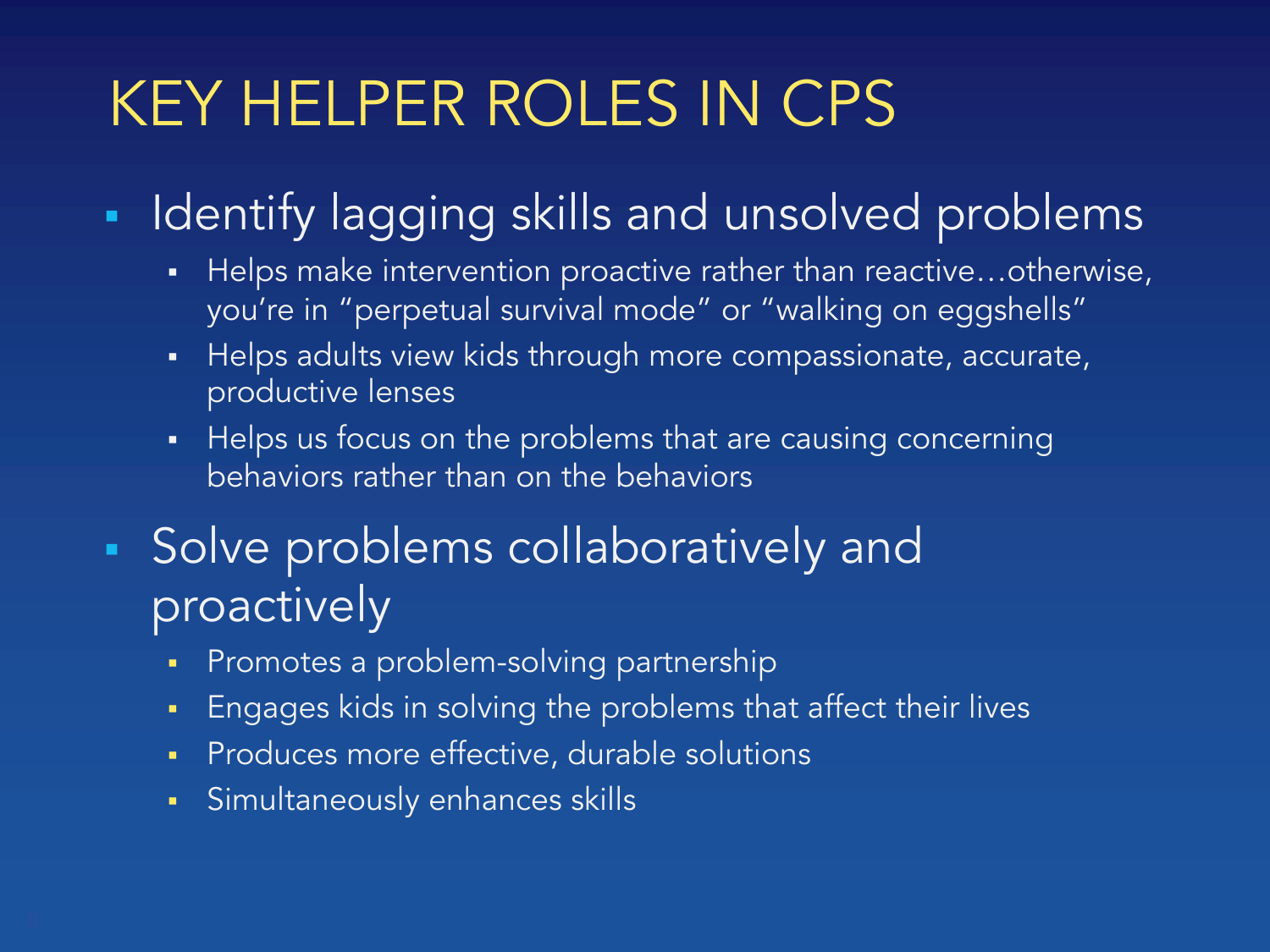### KEY HELPER ROLES IN CPS

- **Identify lagging skills and unsolved problems** 
	- Helps make intervention proactive rather than reactive...otherwise, you're in "perpetual survival mode" or "walking on eggshells"
	- Helps adults view kids through more compassionate, accurate, productive lenses
	- Helps us focus on the problems that are causing concerning behaviors rather than on the behaviors
- **Solve problems collaboratively and** proactively
	- § Promotes a problem-solving partnership
	- § Engages kids in solving the problems that affect their lives
	- § Produces more effective, durable solutions
	- § Simultaneously enhances skills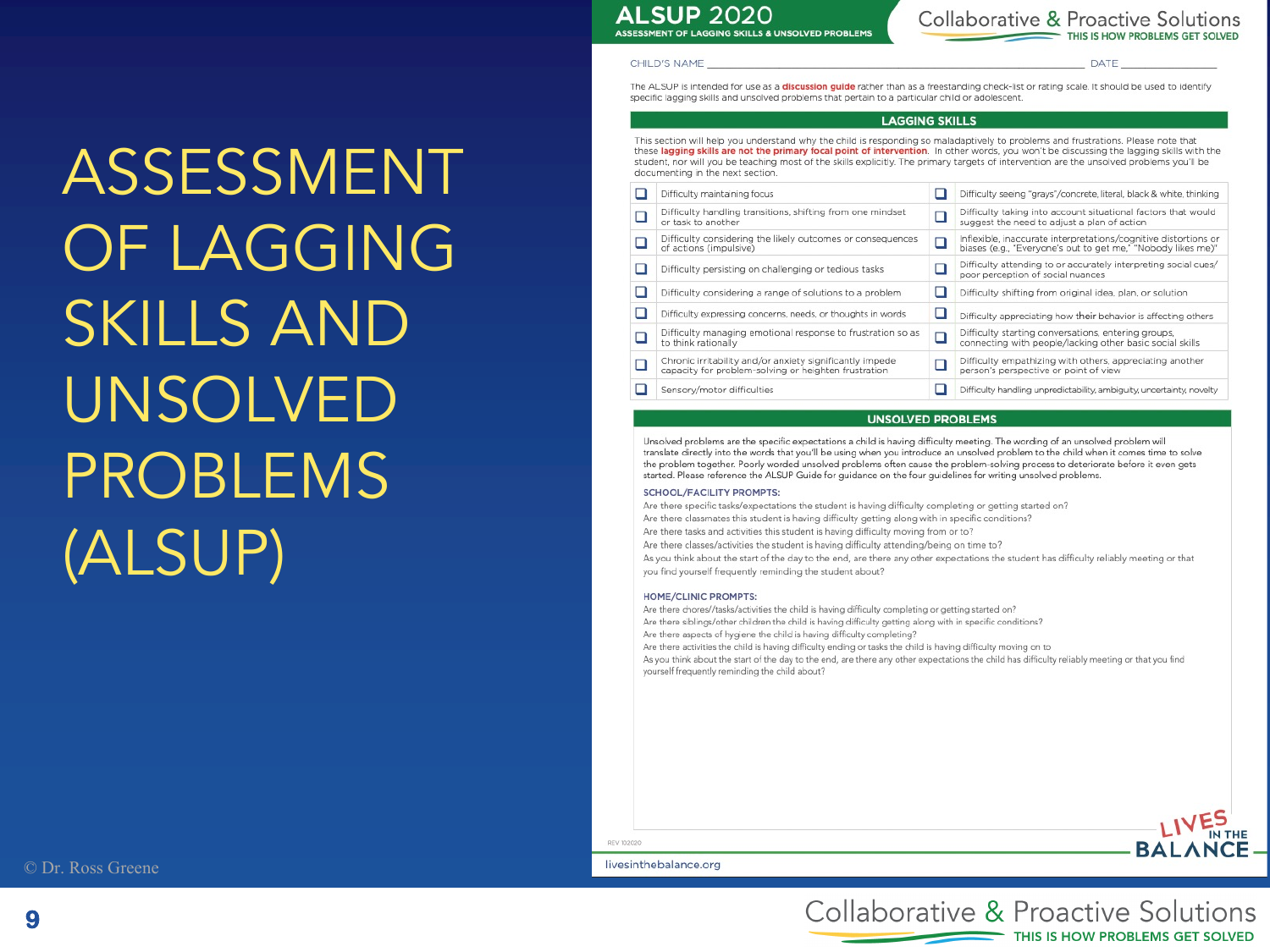**ALSUP 2020** 

**CHILD'S NAME** 

ASSESSMENT OF LAGGING SKILLS & UNSOLVED PROBLEMS

DATE

The ALSUP is intended for use as a discussion guide rather than as a freestanding check-list or rating scale. It should be used to identify specific lagging skills and unsolved problems that pertain to a particular child or adolescent

### **LAGGING SKILLS**

This section will help you understand why the child is responding so maladaptively to problems and frustrations. Please note that these lagging skills are not the primary focal point of intervention. In other words, you won't be discussing the lagging skills with the student, nor will you be teaching most of the skills explicitly. The primary targets of intervention are the unsolved problems you'll be documenting in the next section.

| Difficulty maintaining focus                                                                                     |   | Difficulty seeing "grays"/concrete, literal, black & white, thinking                                                            |
|------------------------------------------------------------------------------------------------------------------|---|---------------------------------------------------------------------------------------------------------------------------------|
| Difficulty handling transitions, shifting from one mindset<br>or task to another                                 |   | Difficulty taking into account situational factors that would<br>suggest the need to adjust a plan of action                    |
| Difficulty considering the likely outcomes or consequences<br>of actions (impulsive)                             | □ | Inflexible, inaccurate interpretations/cognitive distortions or<br>biases (e.g., "Everyone's out to get me," "Nobody likes me)" |
| Difficulty persisting on challenging or tedious tasks                                                            |   | Difficulty attending to or accurately interpreting social cues/<br>poor perception of social nuances                            |
| Difficulty considering a range of solutions to a problem                                                         |   | Difficulty shifting from original idea, plan, or solution                                                                       |
| Difficulty expressing concerns, needs, or thoughts in words                                                      |   | Difficulty appreciating how their behavior is affecting others                                                                  |
| Difficulty managing emotional response to frustration so as<br>to think rationally                               |   | Difficulty starting conversations, entering groups,<br>connecting with people/lacking other basic social skills                 |
| Chronic irritability and/or anxiety significantly impede<br>capacity for problem-solving or heighten frustration |   | Difficulty empathizing with others, appreciating another<br>person's perspective or point of view                               |
| Sensory/motor difficulties                                                                                       |   | Difficulty handling unpredictability, ambiguity, uncertainty, novelty                                                           |

### **UNSOLVED PROBLEMS**

Unsolved problems are the specific expectations a child is having difficulty meeting. The wording of an unsolved problem will translate directly into the words that you'll be using when you introduce an unsolved problem to the child when it comes time to solve the problem together. Poorly worded unsolved problems often cause the problem-solving process to deteriorate before it even gets started. Please reference the ALSUP Guide for guidance on the four guidelines for writing unsolved problems.

### **SCHOOL/FACILITY PROMPTS:**

Are there specific tasks/expectations the student is having difficulty completing or getting started on? Are there classmates this student is having difficulty getting along with in specific conditions? Are there tasks and activities this student is having difficulty moving from or to? Are there classes/activities the student is having difficulty attending/being on time to? As you think about the start of the day to the end, are there any other expectations the student has difficulty reliably meeting or that you find yourself frequently reminding the student about?

### HOME/CLINIC PROMPTS:

Are there chores//tasks/activities the child is having difficulty completing or getting started on?

Are there siblings/other children the child is having difficulty getting along with in specific conditions?

Are there aspects of hygiene the child is having difficulty completing?

Are there activities the child is having difficulty ending or tasks the child is having difficulty moving on to As you think about the start of the day to the end, are there any other expectations the child has difficulty reliably meeting or that you find

yourself frequently reminding the child about?



### livesinthebalance.org

REV 102020



ASSESSMENT

OF LAGGING

SKILLS AND

UNSOLVED

PROBLEMS

(ALSUP)

Collaborative & Proactive Solutions THIS IS HOW PROBLEMS GET SOLVED

**9**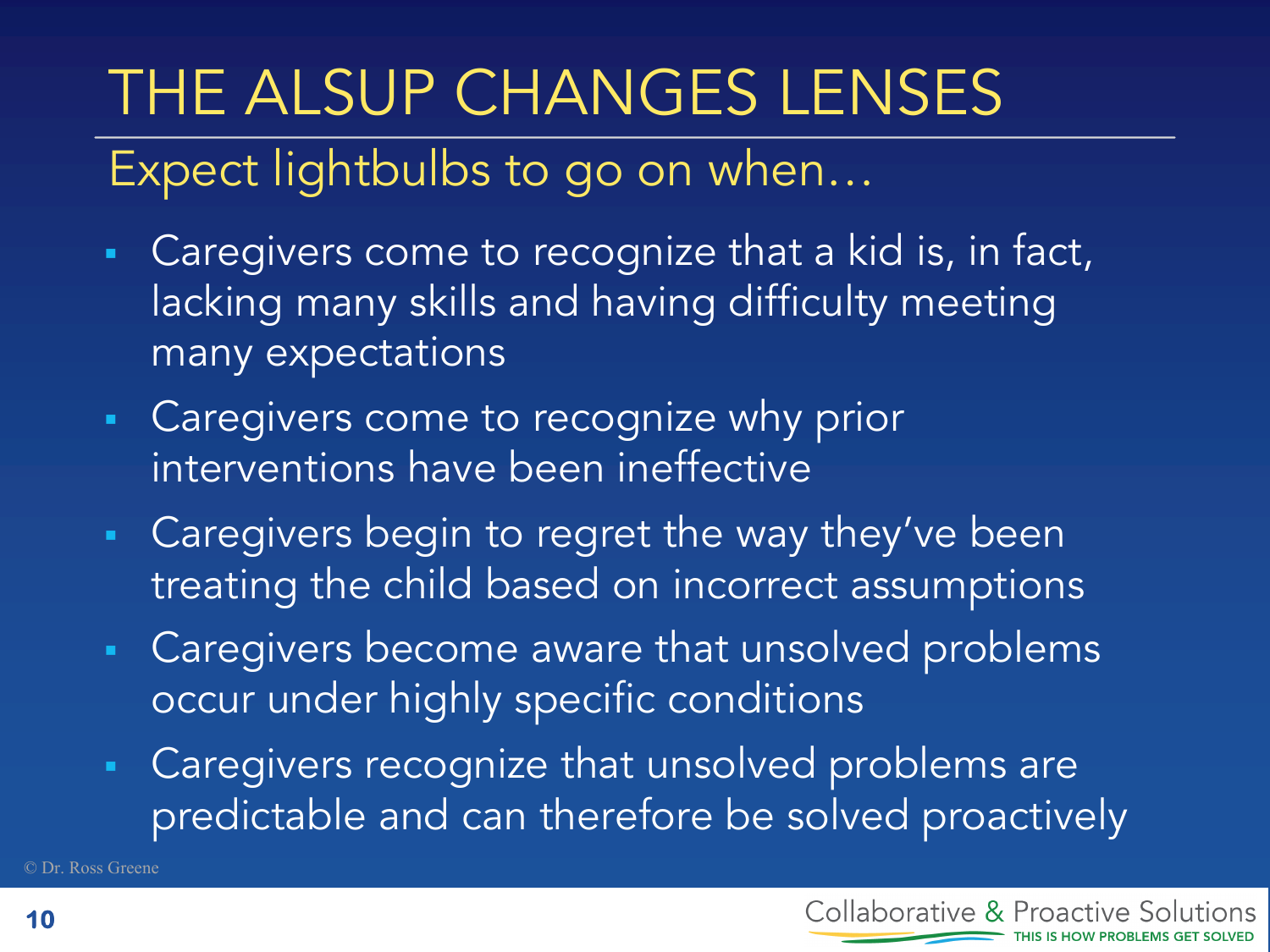# THE ALSUP CHANGES LENSES

### Expect lightbulbs to go on when…

- Caregivers come to recognize that a kid is, in fact, lacking many skills and having difficulty meeting many expectations
- Caregivers come to recognize why prior interventions have been ineffective
- Caregivers begin to regret the way they've been treating the child based on incorrect assumptions
- Caregivers become aware that unsolved problems occur under highly specific conditions
- Caregivers recognize that unsolved problems are predictable and can therefore be solved proactively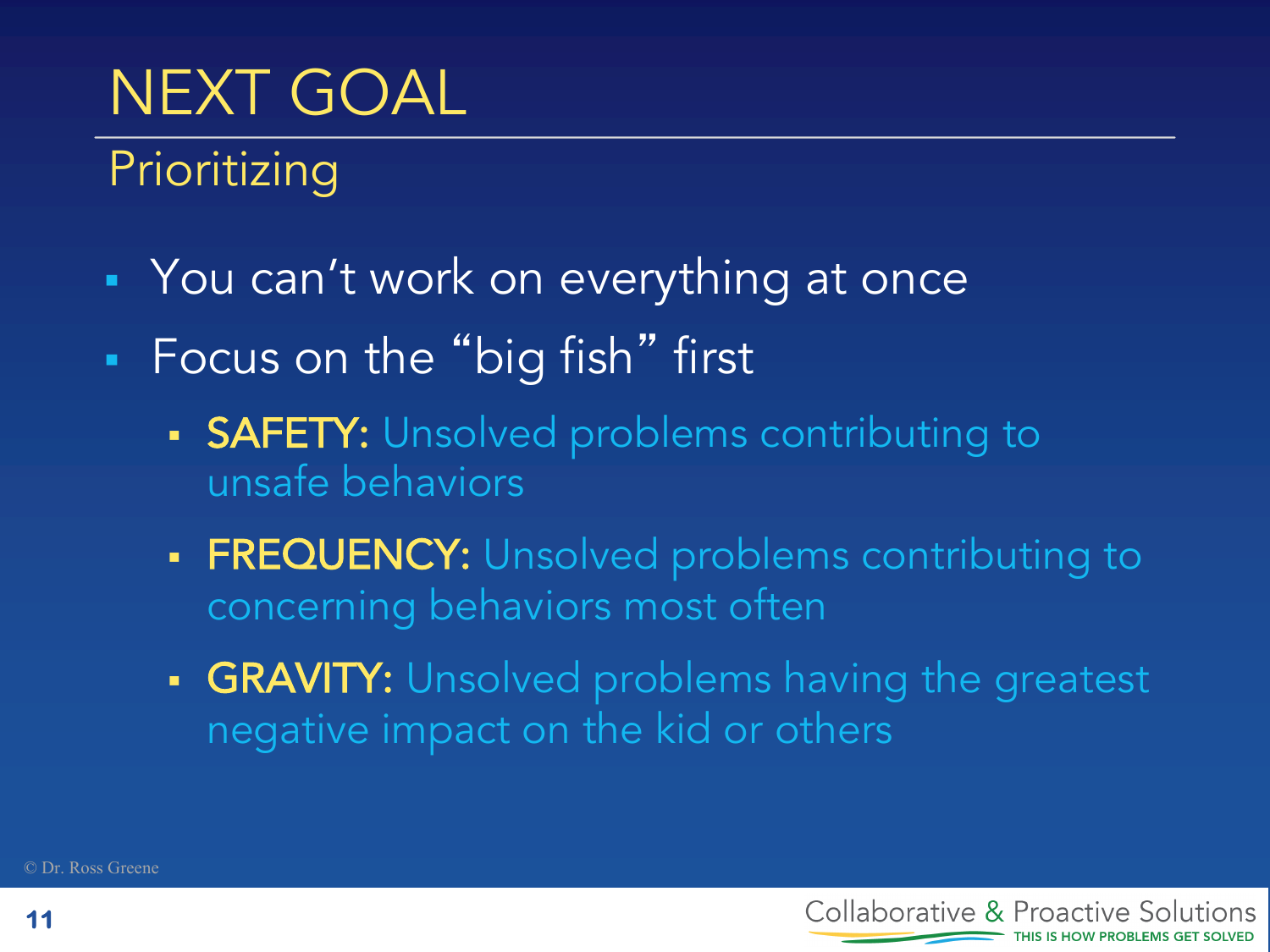# NEXT GOAL

Prioritizing

- You can't work on everything at once
- Focus on the "big fish" first
	- **SAFETY:** Unsolved problems contributing to unsafe behaviors
	- FREQUENCY: Unsolved problems contributing to concerning behaviors most often
	- GRAVITY: Unsolved problems having the greatest negative impact on the kid or others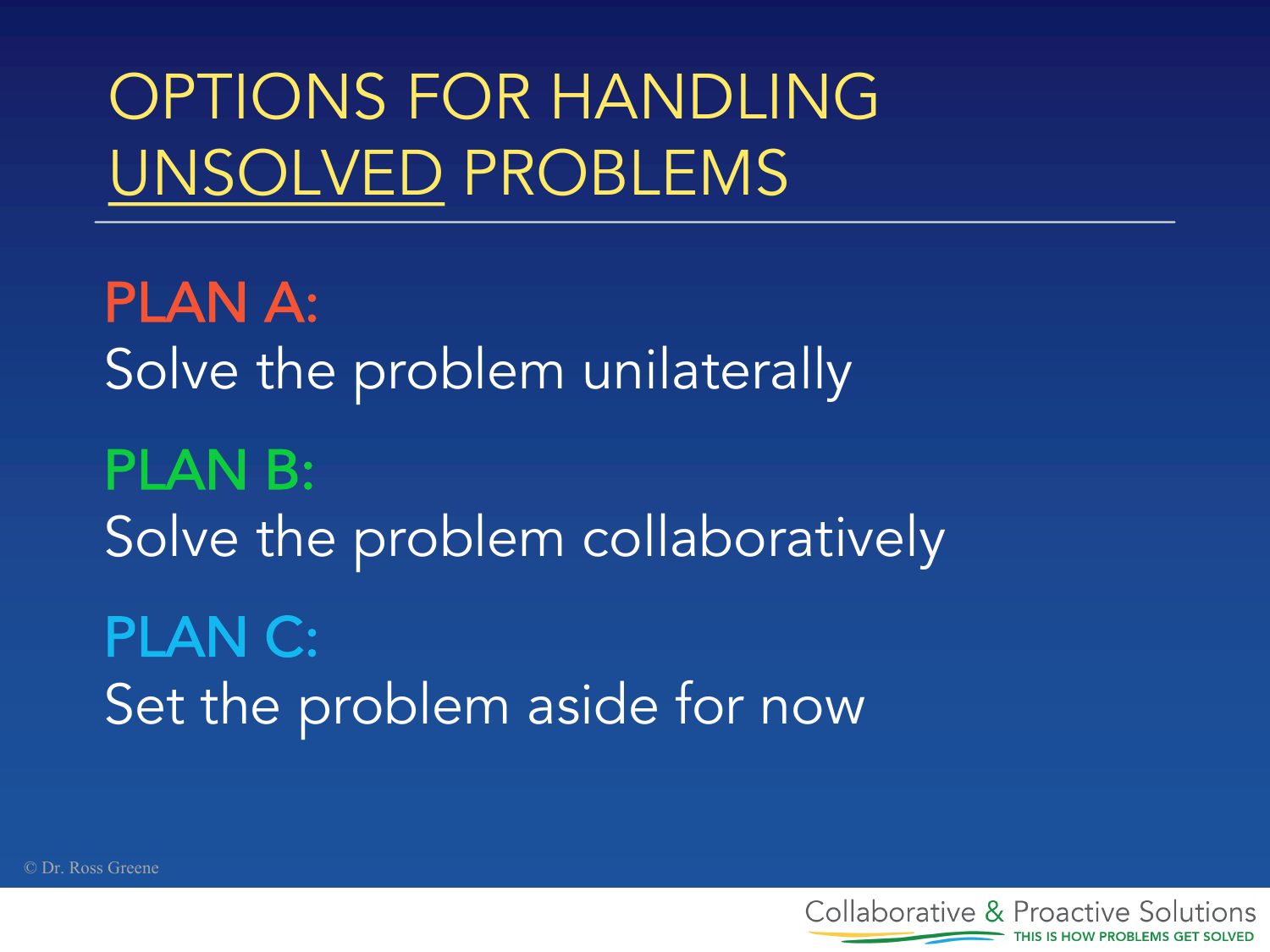# OPTIONS FOR HANDLING UNSOLVED PROBLEMS

PLAN A: Solve the problem unilaterally PLAN B: Solve the problem collaboratively PLAN C: Set the problem aside for now

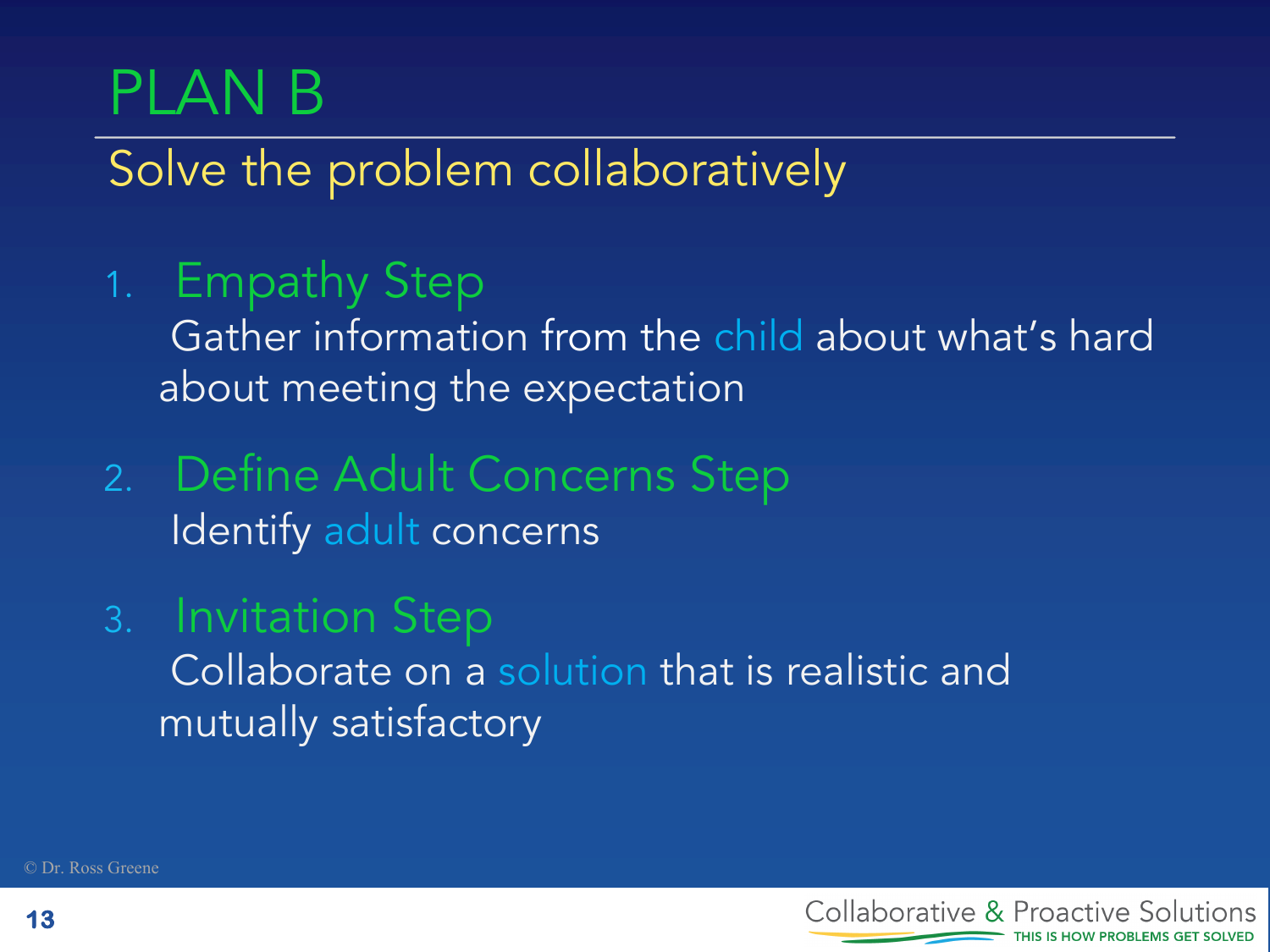# PLAN B

Solve the problem collaboratively

1. Empathy Step

Gather information from the child about what's hard about meeting the expectation

- 2. Define Adult Concerns Step Identify adult concerns
- 3. Invitation Step Collaborate on a solution that is realistic and mutually satisfactory



© Dr. Ross Greene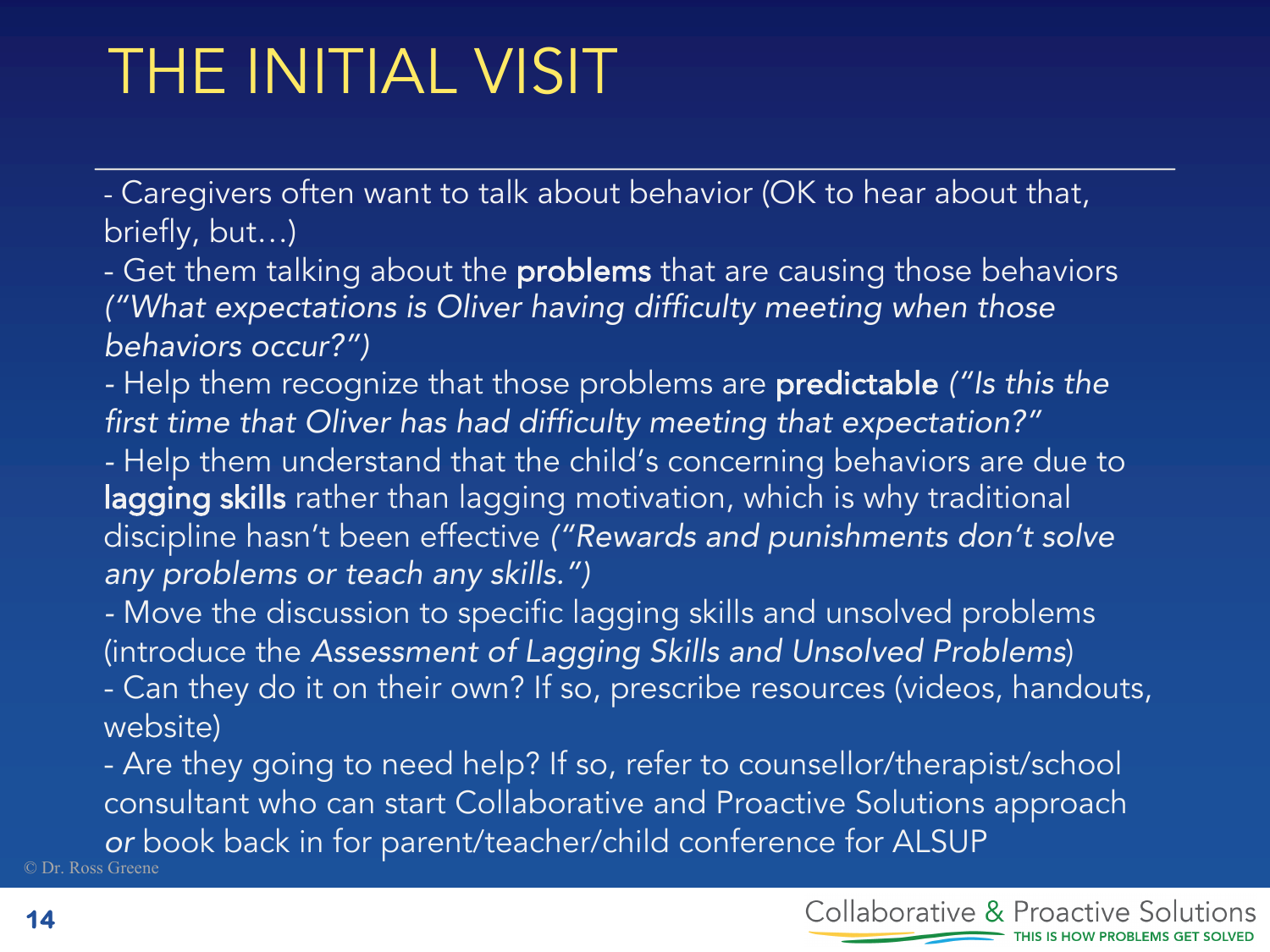# THE INITIAL VISIT

- Caregivers often want to talk about behavior (OK to hear about that, briefly, but…)

- Get them talking about the **problems** that are causing those behaviors *("What expectations is Oliver having difficulty meeting when those behaviors occur?")*

*-* Help them recognize that those problems are predictable *("Is this the first time that Oliver has had difficulty meeting that expectation?"*

*-* Help them understand that the child's concerning behaviors are due to lagging skills rather than lagging motivation, which is why traditional discipline hasn't been effective *("Rewards and punishments don't solve any problems or teach any skills.")*

*-* Move the discussion to specific lagging skills and unsolved problems (introduce the *Assessment of Lagging Skills and Unsolved Problems*)

- Can they do it on their own? If so, prescribe resources (videos, handouts, website)

© Dr. Ross Greene - Are they going to need help? If so, refer to counsellor/therapist/school consultant who can start Collaborative and Proactive Solutions approach *or* book back in for parent/teacher/child conference for ALSUP